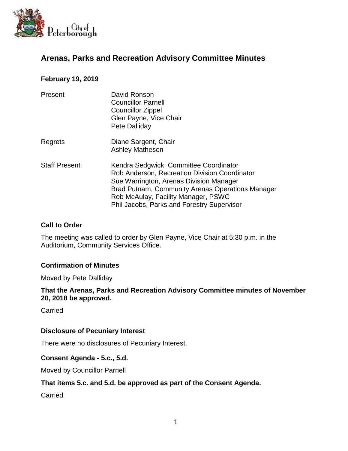

# **Arenas, Parks and Recreation Advisory Committee Minutes**

# **February 19, 2019**

| Present              | David Ronson<br><b>Councillor Parnell</b><br><b>Councillor Zippel</b><br>Glen Payne, Vice Chair<br>Pete Dalliday                                                                                                                                                            |
|----------------------|-----------------------------------------------------------------------------------------------------------------------------------------------------------------------------------------------------------------------------------------------------------------------------|
| Regrets              | Diane Sargent, Chair<br><b>Ashley Matheson</b>                                                                                                                                                                                                                              |
| <b>Staff Present</b> | Kendra Sedgwick, Committee Coordinator<br>Rob Anderson, Recreation Division Coordinator<br>Sue Warrington, Arenas Division Manager<br>Brad Putnam, Community Arenas Operations Manager<br>Rob McAulay, Facility Manager, PSWC<br>Phil Jacobs, Parks and Forestry Supervisor |

#### **Call to Order**

The meeting was called to order by Glen Payne, Vice Chair at 5:30 p.m. in the Auditorium, Community Services Office.

## **Confirmation of Minutes**

Moved by Pete Dalliday

**That the Arenas, Parks and Recreation Advisory Committee minutes of November 20, 2018 be approved.**

**Carried** 

#### **Disclosure of Pecuniary Interest**

There were no disclosures of Pecuniary Interest.

#### **Consent Agenda - 5.c., 5.d.**

Moved by Councillor Parnell

#### **That items 5.c. and 5.d. be approved as part of the Consent Agenda.**

**Carried**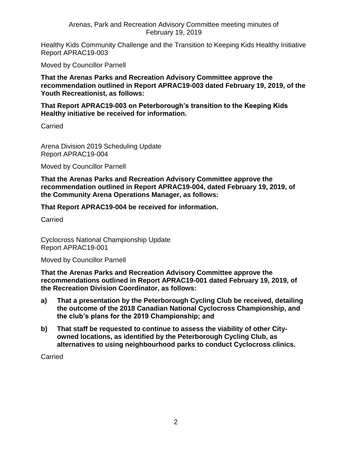Arenas, Park and Recreation Advisory Committee meeting minutes of February 19, 2019

Healthy Kids Community Challenge and the Transition to Keeping Kids Healthy Initiative Report APRAC19-003

Moved by Councillor Parnell

**That the Arenas Parks and Recreation Advisory Committee approve the recommendation outlined in Report APRAC19-003 dated February 19, 2019, of the Youth Recreationist, as follows:**

**That Report APRAC19-003 on Peterborough's transition to the Keeping Kids Healthy initiative be received for information.**

Carried

Arena Division 2019 Scheduling Update Report APRAC19-004

Moved by Councillor Parnell

**That the Arenas Parks and Recreation Advisory Committee approve the recommendation outlined in Report APRAC19-004, dated February 19, 2019, of the Community Arena Operations Manager, as follows:**

**That Report APRAC19-004 be received for information.**

Carried

Cyclocross National Championship Update Report APRAC19-001

Moved by Councillor Parnell

**That the Arenas Parks and Recreation Advisory Committee approve the recommendations outlined in Report APRAC19-001 dated February 19, 2019, of the Recreation Division Coordinator, as follows:**

- **a) That a presentation by the Peterborough Cycling Club be received, detailing the outcome of the 2018 Canadian National Cyclocross Championship, and the club's plans for the 2019 Championship; and**
- **b) That staff be requested to continue to assess the viability of other Cityowned locations, as identified by the Peterborough Cycling Club, as alternatives to using neighbourhood parks to conduct Cyclocross clinics.**

Carried